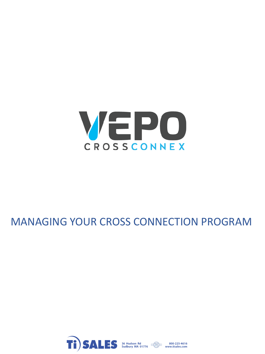

### MANAGING YOUR CROSS CONNECTION PROGRAM